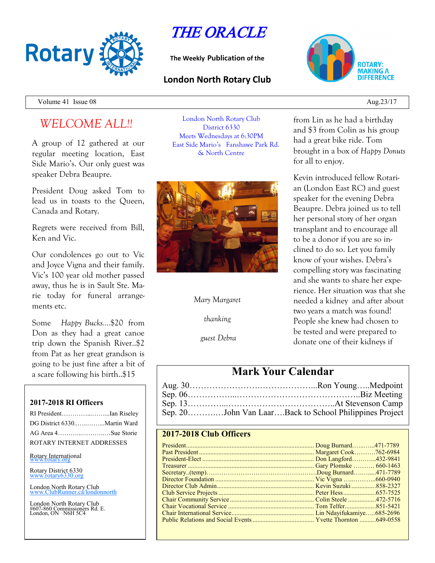

# THE ORACLE

**The Weekly Publication of the**

# **London North Rotary Club**



Volume 41 Issue  $08 \rightarrow 23/17$ 

# *WELCOME ALL!!*

A group of 12 gathered at our regular meeting location, East Side Mario's. Our only guest was speaker Debra Beaupre.

President Doug asked Tom to lead us in toasts to the Queen, Canada and Rotary.

Regrets were received from Bill, Ken and Vic.

Our condolences go out to Vic and Joyce Vigna and their family. Vic's 100 year old mother passed away, thus he is in Sault Ste. Marie today for funeral arrangements etc.

Some *Happy Bucks….*\$20 from Don as they had a great canoe trip down the Spanish River..\$2 from Pat as her great grandson is going to be just fine after a bit of a scare following his birth..\$15

### **2017-2018 RI Officers**

| RI PresidentIan Riseley     |  |
|-----------------------------|--|
| DG District 6330Martin Ward |  |
| AG Area 4Sue Storie         |  |
| ROTARY INTERNET ADDRESSES   |  |
|                             |  |

Rotary International

Rotary District 6330 [www.rotary6330.org](http://www.rotary6330.org/)

London North Rotary Club IubRunner.ca/londonnorth

London North Rotary Club #607-860 Commissioners Rd. E. London, ON N6H 5C4

London North Rotary Club District 6330 Meets Wednesdays at 6:30PM East Side Mario's Fanshawe Park Rd. & North Centre



### *Mary Margaret*

*thanking*

*guest Debra*

from Lin as he had a birthday and \$3 from Colin as his group had a great bike ride. Tom brought in a box of *Happy Donuts*  for all to enjoy.

Kevin introduced fellow Rotarian (London East RC) and guest speaker for the evening Debra Beaupre. Debra joined us to tell her personal story of her organ transplant and to encourage all to be a donor if you are so inclined to do so. Let you family know of your wishes. Debra's compelling story was fascinating and she wants to share her experience. Her situation was that she needed a kidney and after about two years a match was found! People she knew had chosen to be tested and were prepared to donate one of their kidneys if

# **Mark Your Calendar**

| Sep. 20John Van LaarBack to School Philippines Project |
|--------------------------------------------------------|

## **2017-2018 Club Officers**